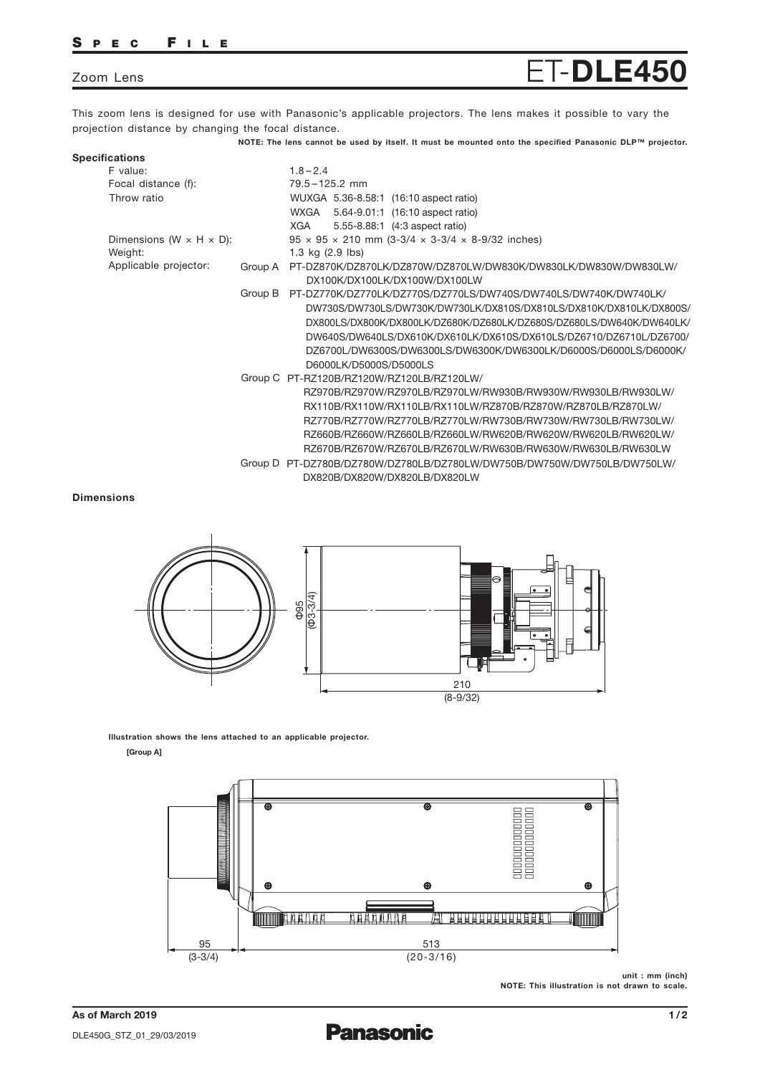## S P E C F I L E

# Zoom Lens **ET-DLE450**

This zoom lens is designed for use with Panasonic's applicable projectors. The lens makes it possible to vary the projection distance by changing the focal distance.

NOTE: The lens cannot be used by itself. It must be mounted onto the specified Panasonic DLP™ projector.

| <b>Specifications</b>                 |         |                                                                                                          |
|---------------------------------------|---------|----------------------------------------------------------------------------------------------------------|
| F value:                              |         | $1.8 - 2.4$                                                                                              |
| Focal distance (f):                   |         | $79.5 - 125.2$ mm                                                                                        |
| Throw ratio                           |         | WUXGA 5.36-8.58:1 (16:10 aspect ratio)                                                                   |
|                                       |         | WXGA<br>5.64-9.01:1 (16:10 aspect ratio)                                                                 |
|                                       |         | XGA<br>5.55-8.88:1 (4:3 aspect ratio)                                                                    |
| Dimensions (W $\times$ H $\times$ D): |         | $95 \times 95 \times 210$ mm (3-3/4 $\times$ 3-3/4 $\times$ 8-9/32 inches)                               |
| Weight:                               |         | 1.3 kg $(2.9$ lbs)                                                                                       |
| Applicable projector:                 | Group A | PT-DZ870K/DZ870LK/DZ870W/DZ870LW/DW830K/DW830LK/DW830W/DW830LW/                                          |
|                                       |         | DX100K/DX100LK/DX100W/DX100LW                                                                            |
|                                       | Group B | PT-DZ770K/DZ770LK/DZ770S/DZ770LS/DW740S/DW740LS/DW740K/DW740LK/                                          |
|                                       |         | DW730S/DW730LS/DW730K/DW730LK/DX810S/DX810LS/DX810K/DX810LK/DX800S/                                      |
|                                       |         | DX800LS/DX800K/DX800LK/DZ680K/DZ680LK/DZ680S/DZ680LS/DW640K/DW640LK/                                     |
|                                       |         | DW640S/DW640LS/DX610K/DX610LK/DX610S/DX610LS/DZ6710/DZ6710L/DZ6700/                                      |
|                                       |         | DZ6700L/DW6300S/DW6300LS/DW6300K/DW6300LK/D6000S/D6000LS/D6000K/                                         |
|                                       |         | D6000LK/D5000S/D5000LS                                                                                   |
|                                       |         | Group C PT-RZ120B/RZ120W/RZ120LB/RZ120LW/                                                                |
|                                       |         | RZ970B/RZ970W/RZ970LB/RZ970LW/RW930B/RW930W/RW930LB/RW930LW/                                             |
|                                       |         | RX110B/RX110W/RX110LB/RX110LW/RZ870B/RZ870W/RZ870LB/RZ870LW/                                             |
|                                       |         | RZ770B/RZ770W/RZ770LB/RZ770LW/RW730B/RW730W/RW730LB/RW730LW/                                             |
|                                       |         | RZ660B/RZ660W/RZ660LB/RZ660LW/RW620B/RW620W/RW620LB/RW620LW/                                             |
|                                       |         | RZ670B/RZ670W/RZ670LB/RZ670LW/RW630B/RW630W/RW630LB/RW630LW                                              |
|                                       |         |                                                                                                          |
|                                       |         |                                                                                                          |
|                                       |         | Group D PT-DZ780B/DZ780W/DZ780LB/DZ780LW/DW750B/DW750W/DW750LB/DW750LW/<br>DX820B/DX820W/DX820LB/DX820LW |

#### Dimensions



Illustration shows the lens attached to an applicable projector.

#### [Group A]



unit : mm (inch) NOTE: This illustration is not drawn to scale.